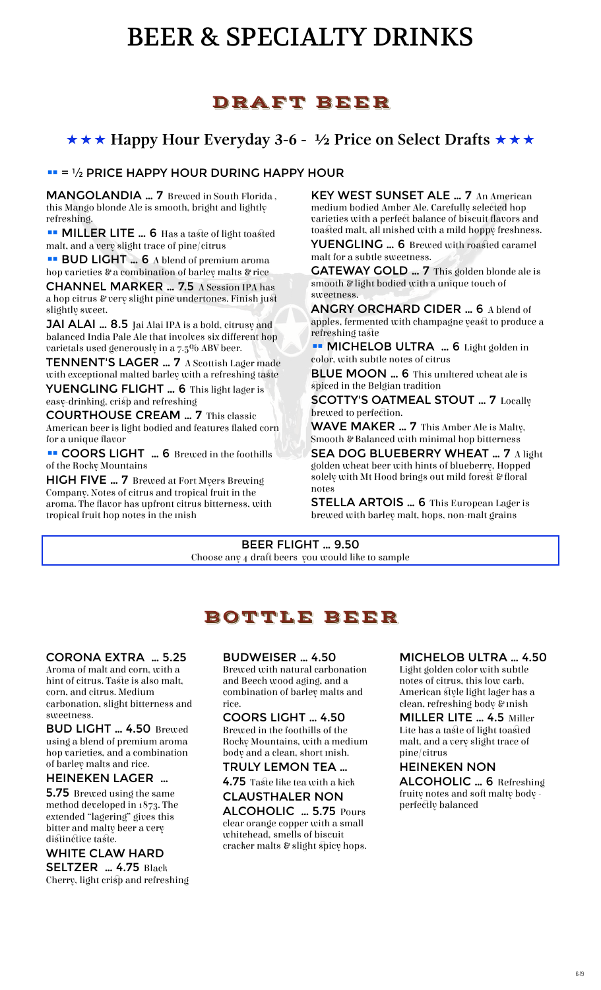# BEER & SPECIALTY DRINKS

# DRAFT BEER

### **★★★ Happy Hour Everyday 3-6 - ½ Price on Select Drafts ★★★**

#### $\Pi = \frac{1}{2}$  PRICE HAPPY HOUR DURING HAPPY HOUR

MANGOLANDIA … 7 Brewed in South Florida , this Mango blonde Ale is smooth, bright and lightly refreshing.

malt, and a very slight trace of pine/citrus **YUENGLING … 6** Brewed with roasted caramel

**BUD LIGHT ...** 6 A blend of premium aroma malt for a subtle sweetness.

CHANNEL MARKER … 7.5 A Session IPA has a hop citrus & very slight pine undertones. Finish just slightly sweet. **ANGRY ORCHARD CIDER ...** 6 A blend of

**JAI ALAI … 8.5** Jai Alai IPA is a bold, citrusy and apples, terments<br>halanced India Pale Ale that involves six different hon refreshing taste balanced India Pale Ale that involves six different hop varietals used generously in a 7.5% ABV beer.

**TENNENT'S LAGER ... 7** A Scottish Lager made color, with subtle notes of citrus

YUENGLING FLIGHT ... 6 This light lager is easy-drinking, crisp and refreshing SCOTTY'S OATMEAL STOUT ... 7 Locally

**COURTHOUSE CREAM ... 7** This classic **EXECUARTHOUSE CREAM ...** 7 This classic American beer is light bodied and features flaked corn for a unique flavor

■ COORS LIGHT ... 6 Brewed in the foothills of the Rocky Mountains

HIGH FIVE … 7 Brewed at Fort Myers Brewing Company. Notes of citrus and tropical fruit in the aroma. The flavor has upfront citrus bitterness, with tropical fruit hop notes in the mish

KEY WEST SUNSET ALE … 7 An American medium bodied Amber Ale. Carefully selected hop varieties with a perfect balance of biscuit flavors and **•• MILLER LITE … 6** Has a taste of light toasted toasted malt, all mished with a mild hoppy freshness.

hop varieties & a combination of barley malts & rice **GATEWAY GOLD … 7** This golden blonde ale is smooth & light bodied with a unique touch of sweetness.

apples, fermented with champagne yeast to produce a

with exceptional malted barley with a refreshing taste<br> **BLUE MOON ...** 6 This unitered wheat ale is<br> **Spiced in the Belgian tradition** 

WAVE MAKER ... 7 This Amber Ale is Malty, Smooth & Balanced with minimal hop bitterness

SEA DOG BLUEBERRY WHEAT ... 7 A light golden wheat beer with hints of blueberry, Hopped solely with Mt Hood brings out mild forest & floral notes

STELLA ARTOIS … 6 This European Lager is brewed with barley malt, hops, non-malt grains

BEER FLIGHT … 9.50 Choose any 4 draft beers you would like to sample

# BOTTLE BEER

#### CORONA EXTRA … 5.25

Aroma of malt and corn, with a hint of citrus. Taste is also malt, corn, and citrus. Medium carbonation, slight bitterness and sweetness.

BUD LIGHT … 4.50 Brewed using a blend of premium aroma hop varieties, and a combination of barley malts and rice.

#### HEINEKEN LAGER …

5.75 Brewed using the same method developed in 1873. The extended "lagering" gives this bitter and malty beer a very distinctive taste.

#### WHITE CLAW HARD

SELTZER ... 4.75 Black Cherry, light crisp and refreshing

#### BUDWEISER … 4.50

Brewed with natural carbonation and Beech wood aging, and a combination of barley malts and rice.

#### COORS LIGHT … 4.50

Brewed in the foothills of the Rocky Mountains, with a medium body and a clean, short mish.

TRULY LEMON TEA … 4.75 Taste like tea with a kick

## CLAUSTHALER NON

ALCOHOLIC … 5.75 Pours clear orange copper with a small whitehead, smells of biscuit cracker malts & slight spicy hops.

#### MICHELOB ULTRA … 4.50

Light golden color with subtle notes of citrus, this low carb, American style light lager has a clean, refreshing body & mish

MILLER LITE … 4.5 Miller Lite has a taste of light toasted malt, and a very slight trace of pine/citrus

#### HEINEKEN NON

ALCOHOLIC … 6 Refreshing fruity notes and soft malty body perfectly balanced